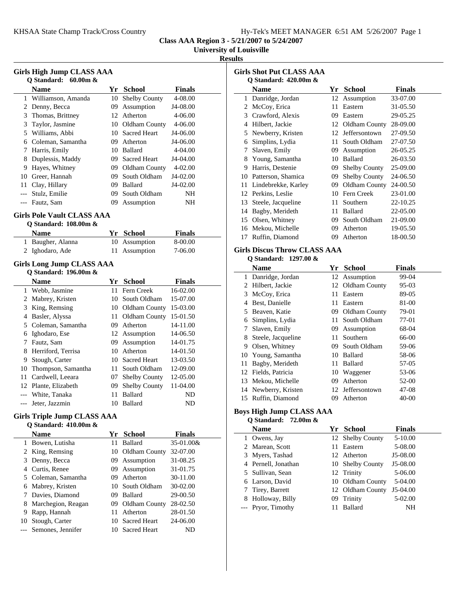**Class AAA Region 3 - 5/21/2007 to 5/24/2007**

**University of Louisville**

### **Results**

| <b>Girls High Jump CLASS AAA</b> |                                   |     |                      |               |  |  |  |
|----------------------------------|-----------------------------------|-----|----------------------|---------------|--|--|--|
|                                  | Q Standard:<br>$60.00m$ &         |     |                      |               |  |  |  |
|                                  | <b>Name</b>                       | Yr  | <b>School</b>        | <b>Finals</b> |  |  |  |
| 1                                | Williamson, Amanda                | 10  | <b>Shelby County</b> | 4-08.00       |  |  |  |
| 2                                | Denny, Becca                      | 09  | Assumption           | J4-08.00      |  |  |  |
| 3                                | Thomas, Brittney                  | 12  | Atherton             | 4-06.00       |  |  |  |
| 3                                | Taylor, Jasmine                   |     | 10 Oldham County     | 4-06.00       |  |  |  |
|                                  | 5 Williams, Abbi                  |     | 10 Sacred Heart      | J4-06.00      |  |  |  |
|                                  | 6 Coleman, Samantha               |     | 09 Atherton          | J4-06.00      |  |  |  |
| 7                                | Harris, Emily                     |     | 10 Ballard           | 4-04.00       |  |  |  |
| 8                                | Duplessis, Maddy                  |     | 09 Sacred Heart      | J4-04.00      |  |  |  |
| 9                                | Hayes, Whitney                    |     | 09 Oldham County     | 4-02.00       |  |  |  |
|                                  | 10 Greer, Hannah                  | 09  | South Oldham         | J4-02.00      |  |  |  |
| 11 -                             | Clay, Hillary                     | 09  | <b>Ballard</b>       | J4-02.00      |  |  |  |
| $---$                            | Stulz, Emilie                     | 09  | South Oldham         | NH            |  |  |  |
| $---$                            | Fautz, Sam                        | 09  | Assumption           | NΗ            |  |  |  |
|                                  | <b>Girls Pole Vault CLASS AAA</b> |     |                      |               |  |  |  |
|                                  | Q Standard: 108.00m &             |     |                      |               |  |  |  |
|                                  | <b>Name</b>                       |     | Yr School            | <b>Finals</b> |  |  |  |
|                                  | 1 Baugher, Alanna                 | 10  | Assumption           | 8-00.00       |  |  |  |
| 2                                | Ighodaro, Ade                     | 11  | Assumption           | 7-06.00       |  |  |  |
|                                  |                                   |     |                      |               |  |  |  |
|                                  | <b>Girls Long Jump CLASS AAA</b>  |     |                      |               |  |  |  |
|                                  | Q Standard: 196.00m &             |     |                      |               |  |  |  |
|                                  | <b>Name</b>                       |     | Yr School            | <b>Finals</b> |  |  |  |
|                                  | 1 Webb, Jasmine                   | 11  | Fern Creek           | 16-02.00      |  |  |  |
|                                  | 2 Mabrey, Kristen                 |     | 10 South Oldham      | 15-07.00      |  |  |  |
| 3                                | King, Remsing                     |     | 10 Oldham County     | 15-03.00      |  |  |  |
| $\overline{4}$                   | Basler, Alyssa                    | 11. | Oldham County        | 15-01.50      |  |  |  |
|                                  | 5 Coleman, Samantha               |     | 09 Atherton          | 14-11.00      |  |  |  |
| 6                                | Ighodaro, Ese                     |     | 12 Assumption        | 14-06.50      |  |  |  |
| 7                                | Fautz, Sam                        | 09  | Assumption           | 14-01.75      |  |  |  |
| 8                                | Herriford, Terrisa                | 10  | Atherton             | 14-01.50      |  |  |  |
| 9                                | Stough, Carter                    | 10  | <b>Sacred Heart</b>  | 13-03.50      |  |  |  |
| 10                               | Thompson, Samantha                | 11. | South Oldham         | 12-09.00      |  |  |  |
| 11                               | Cardwell, Leeara                  | 07  | Shelby County        | 12-05.00      |  |  |  |
|                                  | 12 Plante, Elizabeth              |     | 09 Shelby County     | 11-04.00      |  |  |  |
|                                  | --- White, Tanaka                 | 11  | <b>Ballard</b>       | ND            |  |  |  |
|                                  | --- Jeter, Jazzmin                | 10  | <b>Ballard</b>       | ND            |  |  |  |
|                                  |                                   |     |                      |               |  |  |  |

#### **Girls Triple Jump CLASS AAA Q Standard: 410.00m &**

|    | <b>Name</b>           |      | Yr School           | <b>Finals</b> |
|----|-----------------------|------|---------------------|---------------|
|    | Bowen, Lutisha        | 11   | Ballard             | 35-01.00&     |
|    | 2 King, Remsing       |      | 10 Oldham County    | 32-07.00      |
|    | 3 Denny, Becca        |      | 09 Assumption       | 31-08.25      |
| 4  | Curtis, Renee         |      | 09 Assumption       | 31-01.75      |
|    | 5 Coleman, Samantha   | (99) | Atherton            | 30-11.00      |
| 6  | Mabrey, Kristen       |      | 10 South Oldham     | 30-02.00      |
|    | Davies, Diamond       | 09   | <b>Ballard</b>      | 29-00.50      |
| 8  | Marchegion, Reagan    | 09.  | Oldham County       | 28-02.50      |
| 9  | Rapp, Hannah          | 11   | Atherton            | 28-01.50      |
| 10 | Stough, Carter        |      | 10 Sacred Heart     | 24-06.00      |
|    | --- Semones, Jennifer |      | <b>Sacred Heart</b> | ND            |

| <b>Girls Shot Put CLASS AAA</b> |                                             |    |                      |               |  |  |
|---------------------------------|---------------------------------------------|----|----------------------|---------------|--|--|
|                                 | <b>Q</b> Standard: 420.00m &<br><b>Name</b> | Yr | School               | <b>Finals</b> |  |  |
| 1                               | Danridge, Jordan                            | 12 | Assumption           | 33-07.00      |  |  |
| 2                               | McCoy, Erica                                | 11 | Eastern              | 31-05.50      |  |  |
| 3                               | Crawford, Alexis                            | 09 | Eastern              | 29-05.25      |  |  |
| 4                               | Hilbert, Jackie                             | 12 | Oldham County        | 28-09.00      |  |  |
| 5                               | Newberry, Kristen                           | 12 | Jeffersontown        | 27-09.50      |  |  |
| 6                               | Simplins, Lydia                             | 11 | South Oldham         | 27-07.50      |  |  |
| 7                               | Slaven, Emily                               | 09 | Assumption           | 26-05.25      |  |  |
| 8                               | Young, Samantha                             | 10 | Ballard              | 26-03.50      |  |  |
| 9                               | Harris, Destenie                            | 09 | <b>Shelby County</b> | 25-09.00      |  |  |
| 10                              | Patterson, Shamica                          | 09 | <b>Shelby County</b> | 24-06.50      |  |  |
| 11                              | Lindebrekke, Karley                         | 09 | Oldham County        | 24-00.50      |  |  |
| 12                              | Perkins, Leslie                             | 10 | Fern Creek           | 23-01.00      |  |  |
| 13                              | Steele, Jacqueline                          | 11 | Southern             | 22-10.25      |  |  |
| 14                              | Bagby, Merideth                             | 11 | <b>Ballard</b>       | 22-05.00      |  |  |
| 15                              | Olsen, Whitney                              | 09 | South Oldham         | 21-09.00      |  |  |
| 16                              | Mekou, Michelle                             | 09 | Atherton             | 19-05.50      |  |  |
| 17                              | Ruffin, Diamond                             | 09 | Atherton             | 18-00.50      |  |  |

# **Girls Discus Throw CLASS AAA**

## **Q Standard: 1297.00 &**

 $\overline{\phantom{a}}$ 

|    | <b>Name</b>          | Yr  | <b>School</b>    | <b>Finals</b> |
|----|----------------------|-----|------------------|---------------|
| 1  | Danridge, Jordan     |     | 12 Assumption    | 99-04         |
| 2  | Hilbert, Jackie      |     | 12 Oldham County | $95-03$       |
| 3  | McCoy, Erica         | 11  | Eastern          | 89-05         |
| 4  | Best. Danielle       | 11  | Eastern          | 81-00         |
| 5. | Beaven, Katie        | 09  | Oldham County    | 79-01         |
| 6  | Simplins, Lydia      | 11  | South Oldham     | 77-01         |
| 7  | Slaven, Emily        | 09. | Assumption       | 68-04         |
| 8  | Steele, Jacqueline   | 11. | Southern         | 66-00         |
| 9  | Olsen, Whitney       | 09. | South Oldham     | 59-06         |
|    | 10 Young, Samantha   | 10  | <b>Ballard</b>   | 58-06         |
| 11 | Bagby, Merideth      | 11  | Ballard          | 57-05         |
| 12 | Fields, Patricia     |     | 10 Waggener      | 53-06         |
| 13 | Mekou, Michelle      | 09  | Atherton         | 52-00         |
|    | 14 Newberry, Kristen | 12  | Jeffersontown    | 47-08         |
|    | 15 Ruffin, Diamond   | 09  | Atherton         | $40 - 00$     |

### **Boys High Jump CLASS AAA Q Standard: 72.00m &**

| <b>Name</b>         |    | Yr School        | <b>Finals</b> |
|---------------------|----|------------------|---------------|
| 1 Owens, Jay        |    | 12 Shelby County | $5 - 10.00$   |
| 2 Marean, Scott     | 11 | Eastern          | 5-08.00       |
| 3 Myers, Tashad     |    | 12 Atherton      | $J5-08.00$    |
| 4 Pernell, Jonathan |    | 10 Shelby County | $J5-08.00$    |
| 5 Sullivan, Sean    |    | 12 Trinity       | 5-06.00       |
| 6 Larson, David     |    | 10 Oldham County | 5-04.00       |
| 7 Tirey, Barrett    |    | 12 Oldham County | $J5-04.00$    |
| 8 Holloway, Billy   |    | 09 Trinity       | 5-02.00       |
| --- Pryor, Timothy  |    | <b>Ballard</b>   | NΗ            |